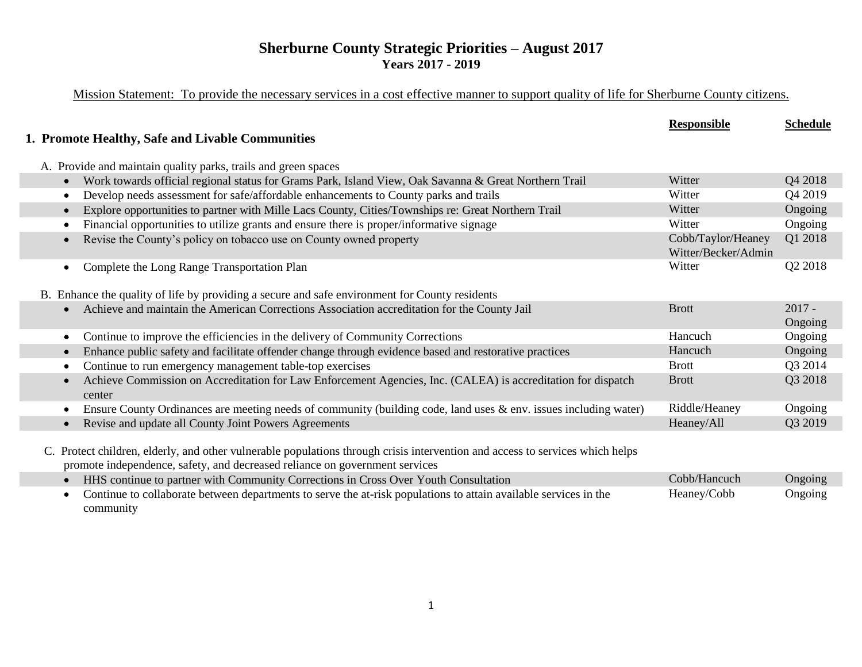### **Sherburne County Strategic Priorities – August 2017 Years 2017 - 2019**

## Mission Statement: To provide the necessary services in a cost effective manner to support quality of life for Sherburne County citizens.

|                                                                                                                                                                                                              | <b>Responsible</b>                        | <b>Schedule</b>     |
|--------------------------------------------------------------------------------------------------------------------------------------------------------------------------------------------------------------|-------------------------------------------|---------------------|
| 1. Promote Healthy, Safe and Livable Communities                                                                                                                                                             |                                           |                     |
|                                                                                                                                                                                                              |                                           |                     |
| A. Provide and maintain quality parks, trails and green spaces                                                                                                                                               |                                           |                     |
| Work towards official regional status for Grams Park, Island View, Oak Savanna & Great Northern Trail<br>$\bullet$                                                                                           | Witter                                    | Q4 2018             |
| Develop needs assessment for safe/affordable enhancements to County parks and trails<br>٠                                                                                                                    | Witter                                    | Q4 2019             |
| Explore opportunities to partner with Mille Lacs County, Cities/Townships re: Great Northern Trail<br>$\bullet$                                                                                              | Witter                                    | Ongoing             |
| Financial opportunities to utilize grants and ensure there is proper/informative signage                                                                                                                     | Witter                                    | Ongoing             |
| Revise the County's policy on tobacco use on County owned property                                                                                                                                           | Cobb/Taylor/Heaney<br>Witter/Becker/Admin | Q1 2018             |
| Complete the Long Range Transportation Plan                                                                                                                                                                  | Witter                                    | Q2 2018             |
| B. Enhance the quality of life by providing a secure and safe environment for County residents                                                                                                               |                                           |                     |
| Achieve and maintain the American Corrections Association accreditation for the County Jail                                                                                                                  | <b>Brott</b>                              | $2017 -$<br>Ongoing |
| Continue to improve the efficiencies in the delivery of Community Corrections                                                                                                                                | Hancuch                                   | Ongoing             |
| Enhance public safety and facilitate offender change through evidence based and restorative practices<br>$\bullet$                                                                                           | Hancuch                                   | Ongoing             |
| Continue to run emergency management table-top exercises<br>$\bullet$                                                                                                                                        | <b>Brott</b>                              | Q3 2014             |
| Achieve Commission on Accreditation for Law Enforcement Agencies, Inc. (CALEA) is accreditation for dispatch<br>$\bullet$<br>center                                                                          | <b>Brott</b>                              | Q3 2018             |
| Ensure County Ordinances are meeting needs of community (building code, land uses & env. issues including water)<br>$\bullet$                                                                                | Riddle/Heaney                             | Ongoing             |
| Revise and update all County Joint Powers Agreements<br>$\bullet$                                                                                                                                            | Heaney/All                                | Q3 2019             |
|                                                                                                                                                                                                              |                                           |                     |
| C. Protect children, elderly, and other vulnerable populations through crisis intervention and access to services which helps<br>promote independence, safety, and decreased reliance on government services |                                           |                     |
| HHS continue to partner with Community Corrections in Cross Over Youth Consultation<br>$\bullet$                                                                                                             | Cobb/Hancuch                              | Ongoing             |
| Continue to collaborate between departments to serve the at-risk populations to attain available services in the<br>community                                                                                | Heaney/Cobb                               | Ongoing             |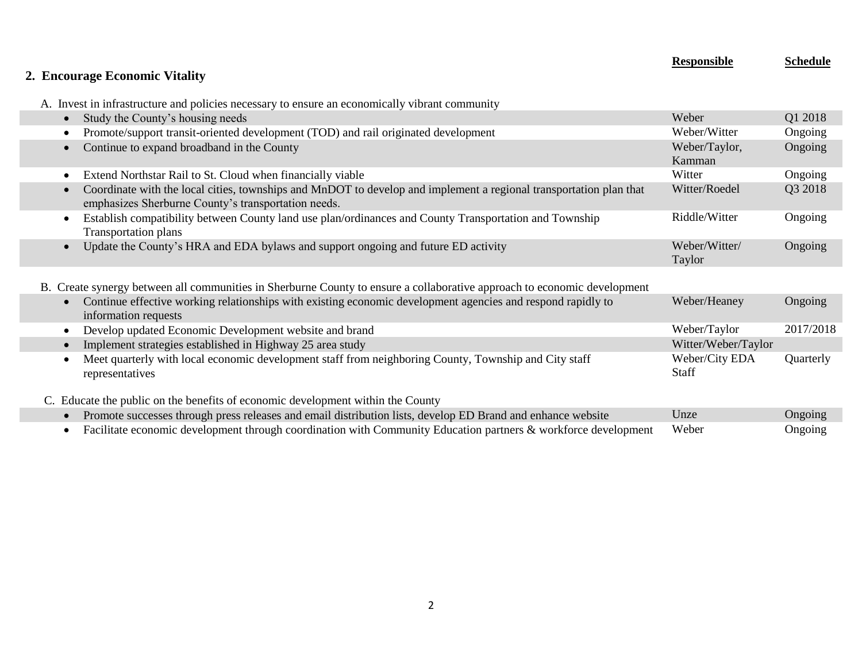| 2. Encourage Economic Vitality                                                                                                                                            | <b>Responsible</b>      | <b>Schedule</b> |
|---------------------------------------------------------------------------------------------------------------------------------------------------------------------------|-------------------------|-----------------|
| A. Invest in infrastructure and policies necessary to ensure an economically vibrant community                                                                            |                         |                 |
| Study the County's housing needs                                                                                                                                          | Weber                   | Q1 2018         |
| Promote/support transit-oriented development (TOD) and rail originated development                                                                                        | Weber/Witter            | Ongoing         |
| Continue to expand broadband in the County<br>$\bullet$                                                                                                                   | Weber/Taylor,<br>Kamman | Ongoing         |
| Extend Northstar Rail to St. Cloud when financially viable                                                                                                                | Witter                  | Ongoing         |
| Coordinate with the local cities, townships and MnDOT to develop and implement a regional transportation plan that<br>emphasizes Sherburne County's transportation needs. | Witter/Roedel           | Q3 2018         |
| Establish compatibility between County land use plan/ordinances and County Transportation and Township<br><b>Transportation plans</b>                                     | Riddle/Witter           | Ongoing         |
| Update the County's HRA and EDA bylaws and support ongoing and future ED activity<br>$\bullet$                                                                            | Weber/Witter/<br>Taylor | Ongoing         |
| B. Create synergy between all communities in Sherburne County to ensure a collaborative approach to economic development                                                  |                         |                 |
| Continue effective working relationships with existing economic development agencies and respond rapidly to<br>information requests                                       | Weber/Heaney            | Ongoing         |
| Develop updated Economic Development website and brand<br>٠                                                                                                               | Weber/Taylor            | 2017/2018       |
| Implement strategies established in Highway 25 area study                                                                                                                 | Witter/Weber/Taylor     |                 |
| Meet quarterly with local economic development staff from neighboring County, Township and City staff<br>representatives                                                  | Weber/City EDA<br>Staff | Quarterly       |
| C. Educate the public on the benefits of economic development within the County                                                                                           |                         |                 |
| Promote successes through press releases and email distribution lists, develop ED Brand and enhance website                                                               | Unze                    | Ongoing         |
| Facilitate economic development through coordination with Community Education partners & workforce development<br>$\bullet$                                               | Weber                   | Ongoing         |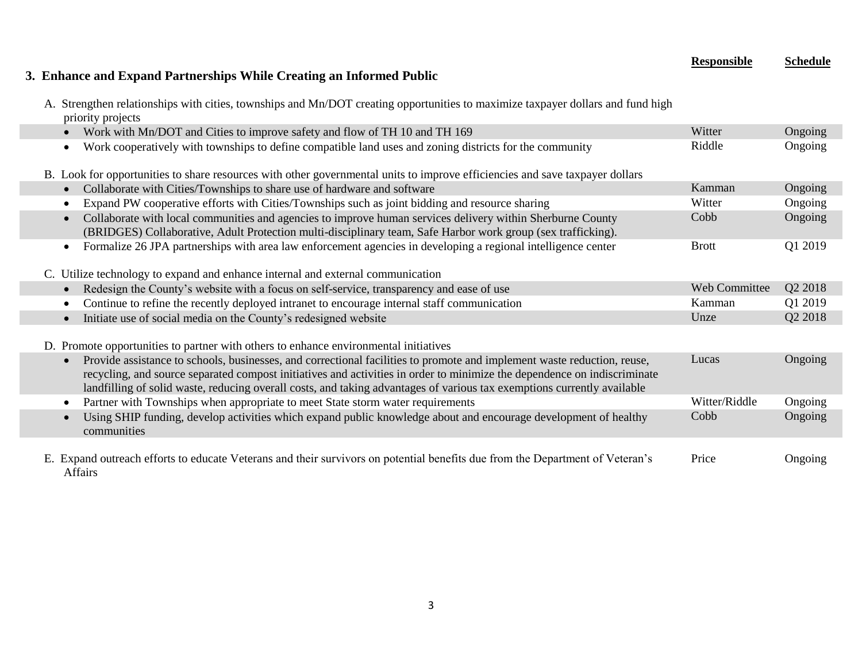#### **Responsible Schedule**

## **3. Enhance and Expand Partnerships While Creating an Informed Public**

A. Strengthen relationships with cities, townships and Mn/DOT creating opportunities to maximize taxpayer dollars and fund high priority projects

| Work with Mn/DOT and Cities to improve safety and flow of TH 10 and TH 169                                                                                                                                                                                                                                                                                                                  | Witter        | Ongoing |
|---------------------------------------------------------------------------------------------------------------------------------------------------------------------------------------------------------------------------------------------------------------------------------------------------------------------------------------------------------------------------------------------|---------------|---------|
| Work cooperatively with townships to define compatible land uses and zoning districts for the community<br>$\bullet$                                                                                                                                                                                                                                                                        | Riddle        | Ongoing |
| B. Look for opportunities to share resources with other governmental units to improve efficiencies and save taxpayer dollars                                                                                                                                                                                                                                                                |               |         |
| Collaborate with Cities/Townships to share use of hardware and software                                                                                                                                                                                                                                                                                                                     | Kamman        | Ongoing |
| Expand PW cooperative efforts with Cities/Townships such as joint bidding and resource sharing                                                                                                                                                                                                                                                                                              | Witter        | Ongoing |
| Collaborate with local communities and agencies to improve human services delivery within Sherburne County<br>(BRIDGES) Collaborative, Adult Protection multi-disciplinary team, Safe Harbor work group (sex trafficking).                                                                                                                                                                  | Cobb          | Ongoing |
| Formalize 26 JPA partnerships with area law enforcement agencies in developing a regional intelligence center<br>$\bullet$                                                                                                                                                                                                                                                                  | <b>Brott</b>  | Q1 2019 |
| C. Utilize technology to expand and enhance internal and external communication                                                                                                                                                                                                                                                                                                             |               |         |
| Redesign the County's website with a focus on self-service, transparency and ease of use                                                                                                                                                                                                                                                                                                    | Web Committee | Q2 2018 |
| Continue to refine the recently deployed intranet to encourage internal staff communication                                                                                                                                                                                                                                                                                                 | Kamman        | Q1 2019 |
| Initiate use of social media on the County's redesigned website<br>$\bullet$                                                                                                                                                                                                                                                                                                                | Unze          | Q2 2018 |
| D. Promote opportunities to partner with others to enhance environmental initiatives                                                                                                                                                                                                                                                                                                        |               |         |
| Provide assistance to schools, businesses, and correctional facilities to promote and implement waste reduction, reuse,<br>$\bullet$<br>recycling, and source separated compost initiatives and activities in order to minimize the dependence on indiscriminate<br>landfilling of solid waste, reducing overall costs, and taking advantages of various tax exemptions currently available | Lucas         | Ongoing |
| Partner with Townships when appropriate to meet State storm water requirements                                                                                                                                                                                                                                                                                                              | Witter/Riddle | Ongoing |
| Using SHIP funding, develop activities which expand public knowledge about and encourage development of healthy<br>communities                                                                                                                                                                                                                                                              | Cobb          | Ongoing |
| E. Expand outreach efforts to educate Veterans and their survivors on potential benefits due from the Department of Veteran's<br>Affairs                                                                                                                                                                                                                                                    | Price         | Ongoing |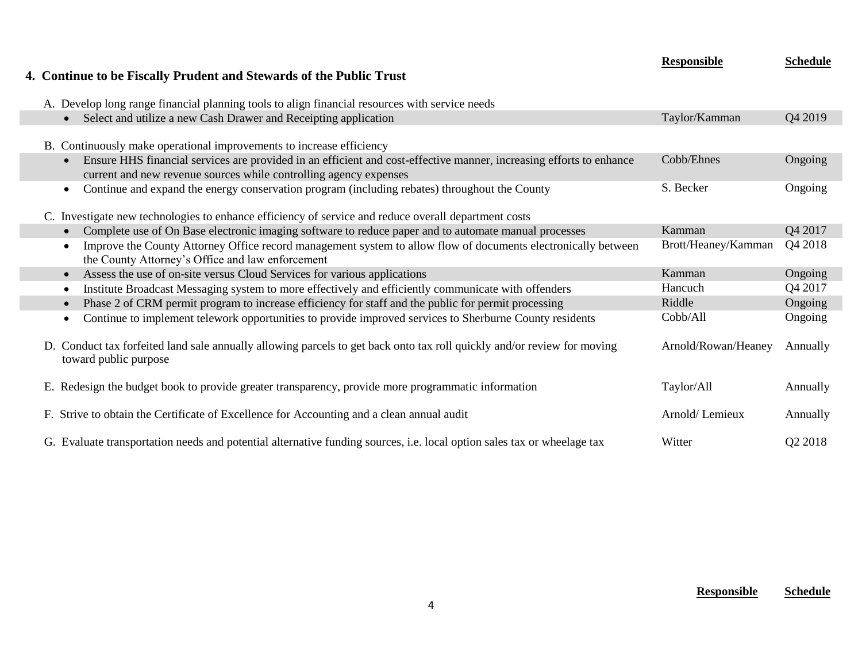| 4. Continue to be Fiscally Prudent and Stewards of the Public Trust                                                                                                                                   | <b>Responsible</b>  | <b>Schedule</b> |
|-------------------------------------------------------------------------------------------------------------------------------------------------------------------------------------------------------|---------------------|-----------------|
| A. Develop long range financial planning tools to align financial resources with service needs                                                                                                        |                     |                 |
| Select and utilize a new Cash Drawer and Receipting application<br>$\bullet$                                                                                                                          | Taylor/Kamman       | Q4 2019         |
| B. Continuously make operational improvements to increase efficiency                                                                                                                                  |                     |                 |
| Ensure HHS financial services are provided in an efficient and cost-effective manner, increasing efforts to enhance<br>$\bullet$<br>current and new revenue sources while controlling agency expenses | Cobb/Ehnes          | Ongoing         |
| Continue and expand the energy conservation program (including rebates) throughout the County<br>$\bullet$                                                                                            | S. Becker           | Ongoing         |
| C. Investigate new technologies to enhance efficiency of service and reduce overall department costs                                                                                                  |                     |                 |
| Complete use of On Base electronic imaging software to reduce paper and to automate manual processes<br>$\bullet$                                                                                     | Kamman              | Q4 2017         |
| Improve the County Attorney Office record management system to allow flow of documents electronically between<br>$\bullet$<br>the County Attorney's Office and law enforcement                        | Brott/Heaney/Kamman | Q4 2018         |
| Assess the use of on-site versus Cloud Services for various applications<br>$\bullet$                                                                                                                 | Kamman              | Ongoing         |
| Institute Broadcast Messaging system to more effectively and efficiently communicate with offenders<br>$\bullet$                                                                                      | Hancuch             | Q4 2017         |
| Phase 2 of CRM permit program to increase efficiency for staff and the public for permit processing<br>$\bullet$                                                                                      | Riddle              | Ongoing         |
| Continue to implement telework opportunities to provide improved services to Sherburne County residents<br>$\bullet$                                                                                  | Cobb/All            | Ongoing         |
| D. Conduct tax forfeited land sale annually allowing parcels to get back onto tax roll quickly and/or review for moving<br>toward public purpose                                                      | Arnold/Rowan/Heaney | Annually        |
| E. Redesign the budget book to provide greater transparency, provide more programmatic information                                                                                                    | Taylor/All          | Annually        |
| F. Strive to obtain the Certificate of Excellence for Accounting and a clean annual audit                                                                                                             | Arnold/Lemieux      | Annually        |
| G. Evaluate transportation needs and potential alternative funding sources, i.e. local option sales tax or wheelage tax                                                                               | Witter              | Q2 2018         |

I.